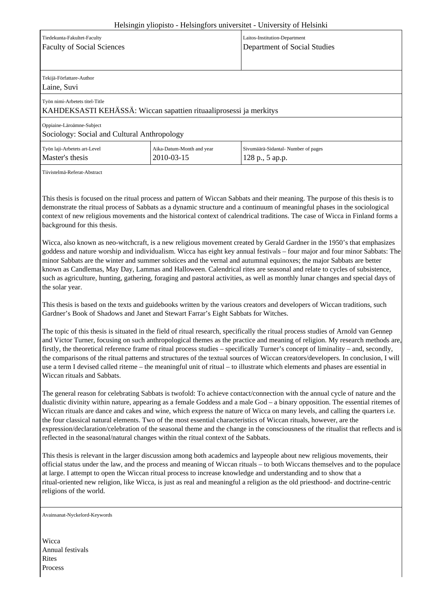## Helsingin yliopisto - Helsingfors universitet - University of Helsinki

| Tiedekunta-Fakultet-Faculty                                        |                           | Laitos-Institution-Department      |
|--------------------------------------------------------------------|---------------------------|------------------------------------|
| <b>Faculty of Social Sciences</b>                                  |                           | Department of Social Studies       |
|                                                                    |                           |                                    |
| Tekijä-Författare-Author                                           |                           |                                    |
| Laine, Suvi                                                        |                           |                                    |
| Työn nimi-Arbetets titel-Title                                     |                           |                                    |
| KAHDEKSASTI KEHÄSSÄ: Wiccan sapattien rituaaliprosessi ja merkitys |                           |                                    |
| Oppiaine-Läroämne-Subject                                          |                           |                                    |
| Sociology: Social and Cultural Anthropology                        |                           |                                    |
| Työn laji-Arbetets art-Level                                       | Aika-Datum-Month and year | Sivumäärä-Sidantal-Number of pages |
| Master's thesis                                                    | 2010-03-15                | 128 p., 5 ap.p.                    |

Tiivistelmä-Referat-Abstract

This thesis is focused on the ritual process and pattern of Wiccan Sabbats and their meaning. The purpose of this thesis is to demonstrate the ritual process of Sabbats as a dynamic structure and a continuum of meaningful phases in the sociological context of new religious movements and the historical context of calendrical traditions. The case of Wicca in Finland forms a background for this thesis.

Wicca, also known as neo-witchcraft, is a new religious movement created by Gerald Gardner in the 1950's that emphasizes goddess and nature worship and individualism. Wicca has eight key annual festivals – four major and four minor Sabbats: The minor Sabbats are the winter and summer solstices and the vernal and autumnal equinoxes; the major Sabbats are better known as Candlemas, May Day, Lammas and Halloween. Calendrical rites are seasonal and relate to cycles of subsistence, such as agriculture, hunting, gathering, foraging and pastoral activities, as well as monthly lunar changes and special days of the solar year.

This thesis is based on the texts and guidebooks written by the various creators and developers of Wiccan traditions, such Gardner's Book of Shadows and Janet and Stewart Farrar's Eight Sabbats for Witches.

The topic of this thesis is situated in the field of ritual research, specifically the ritual process studies of Arnold van Gennep and Victor Turner, focusing on such anthropological themes as the practice and meaning of religion. My research methods are, firstly, the theoretical reference frame of ritual process studies – specifically Turner's concept of liminality – and, secondly, the comparisons of the ritual patterns and structures of the textual sources of Wiccan creators/developers. In conclusion, I will use a term I devised called riteme – the meaningful unit of ritual – to illustrate which elements and phases are essential in Wiccan rituals and Sabbats.

The general reason for celebrating Sabbats is twofold: To achieve contact/connection with the annual cycle of nature and the dualistic divinity within nature, appearing as a female Goddess and a male God – a binary opposition. The essential ritemes of Wiccan rituals are dance and cakes and wine, which express the nature of Wicca on many levels, and calling the quarters i.e. the four classical natural elements. Two of the most essential characteristics of Wiccan rituals, however, are the expression/declaration/celebration of the seasonal theme and the change in the consciousness of the ritualist that reflects and is reflected in the seasonal/natural changes within the ritual context of the Sabbats.

This thesis is relevant in the larger discussion among both academics and laypeople about new religious movements, their official status under the law, and the process and meaning of Wiccan rituals – to both Wiccans themselves and to the populace at large. I attempt to open the Wiccan ritual process to increase knowledge and understanding and to show that a ritual-oriented new religion, like Wicca, is just as real and meaningful a religion as the old priesthood- and doctrine-centric religions of the world.

Avainsanat-Nyckelord-Keywords

**Wicca** Annual festivals Rites **Process**